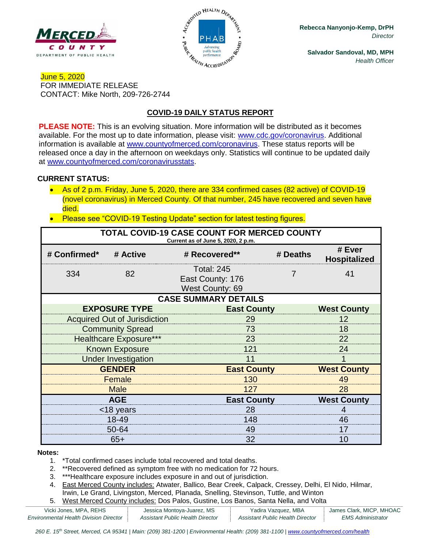



**Rebecca Nanyonjo-Kemp, DrPH** *Director*

**Salvador Sandoval, MD, MPH** *Health Officer*

## June 5, 2020 FOR IMMEDIATE RELEASE CONTACT: Mike North, 209-726-2744

# **COVID-19 DAILY STATUS REPORT**

**PLEASE NOTE:** This is an evolving situation. More information will be distributed as it becomes available. For the most up to date information, please visit: [www.cdc.gov/coronavirus.](http://www.cdc.gov/coronavirus) Additional information is available at [www.countyofmerced.com/coronavirus.](http://www.countyofmerced.com/coronavirus) These status reports will be released once a day in the afternoon on weekdays only. Statistics will continue to be updated daily at [www.countyofmerced.com/coronavirusstats.](http://www.countyofmerced.com/coronavirusstats)

#### **CURRENT STATUS:**

- As of 2 p.m. Friday, June 5, 2020, there are 334 confirmed cases (82 active) of COVID-19 (novel coronavirus) in Merced County. Of that number, 245 have recovered and seven have died.
- Please see "COVID-19 Testing Update" section for latest testing figures.

| <b>TOTAL COVID-19 CASE COUNT FOR MERCED COUNTY</b><br>Current as of June 5, 2020, 2 p.m. |                                     |                                                          |                    |                               |  |  |  |
|------------------------------------------------------------------------------------------|-------------------------------------|----------------------------------------------------------|--------------------|-------------------------------|--|--|--|
| # Confirmed*                                                                             | # Active                            | # Recovered**                                            | # Deaths           | # Ever<br><b>Hospitalized</b> |  |  |  |
| 334                                                                                      | 82                                  | <b>Total: 245</b><br>East County: 176<br>West County: 69 |                    | 41                            |  |  |  |
| <b>CASE SUMMARY DETAILS</b>                                                              |                                     |                                                          |                    |                               |  |  |  |
|                                                                                          | <b>EXPOSURE TYPE</b>                | <b>East County</b>                                       |                    | <b>West County</b>            |  |  |  |
|                                                                                          | <b>Acquired Out of Jurisdiction</b> | 29                                                       |                    |                               |  |  |  |
|                                                                                          | <b>Community Spread</b>             | 73                                                       |                    |                               |  |  |  |
| <b>Healthcare Exposure***</b>                                                            |                                     | 23                                                       |                    |                               |  |  |  |
| <b>Known Exposure</b>                                                                    |                                     | 121                                                      |                    |                               |  |  |  |
|                                                                                          | <b>Under Investigation</b>          | 11                                                       |                    |                               |  |  |  |
| <b>GENDER</b>                                                                            |                                     |                                                          | <b>East County</b> |                               |  |  |  |
| Female                                                                                   |                                     | 130                                                      |                    |                               |  |  |  |
|                                                                                          | <b>Male</b>                         | 127                                                      |                    |                               |  |  |  |
| <b>AGE</b>                                                                               |                                     |                                                          | <b>East County</b> |                               |  |  |  |
| <18 years                                                                                |                                     | 28                                                       |                    |                               |  |  |  |
| 18-49                                                                                    |                                     | 148                                                      |                    |                               |  |  |  |
|                                                                                          | 50-64                               | 49                                                       |                    | 17                            |  |  |  |
| $65+$                                                                                    |                                     | 32                                                       |                    | 10                            |  |  |  |

#### **Notes:**

- 1. \*Total confirmed cases include total recovered and total deaths.
- 2. \*\*Recovered defined as symptom free with no medication for 72 hours.
- 3. \*\*\*Healthcare exposure includes exposure in and out of jurisdiction.
- 4. East Merced County includes: Atwater, Ballico, Bear Creek, Calpack, Cressey, Delhi, El Nido, Hilmar, Irwin, Le Grand, Livingston, Merced, Planada, Snelling, Stevinson, Tuttle, and Winton
- 5. West Merced County includes: Dos Palos, Gustine, Los Banos, Santa Nella, and Volta

| Vicki Jones, MPA, REHS                        | Jessica Montoya-Juarez, MS       | Yadira Vazquez, MBA              | James Clark, MICP, MHOAC |
|-----------------------------------------------|----------------------------------|----------------------------------|--------------------------|
| <b>Environmental Health Division Director</b> | Assistant Public Health Director | Assistant Public Health Director | <i>EMS Administrator</i> |

*260 E. 15th Street, Merced, CA 95341 | Main: (209) 381-1200 | Environmental Health: (209) 381-1100* | *[www.countyofmerced.com/health](http://www.countyofmerced.com/health)*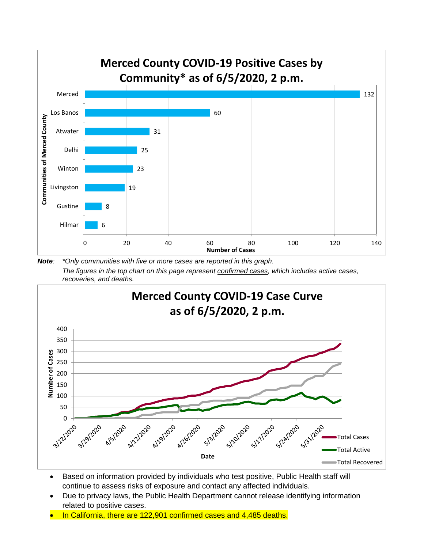

*Note: \*Only communities with five or more cases are reported in this graph. The figures in the top chart on this page represent confirmed cases, which includes active cases, recoveries, and deaths.*



- Based on information provided by individuals who test positive, Public Health staff will continue to assess risks of exposure and contact any affected individuals.
- Due to privacy laws, the Public Health Department cannot release identifying information related to positive cases.
- In California, there are 122,901 confirmed cases and 4,485 deaths.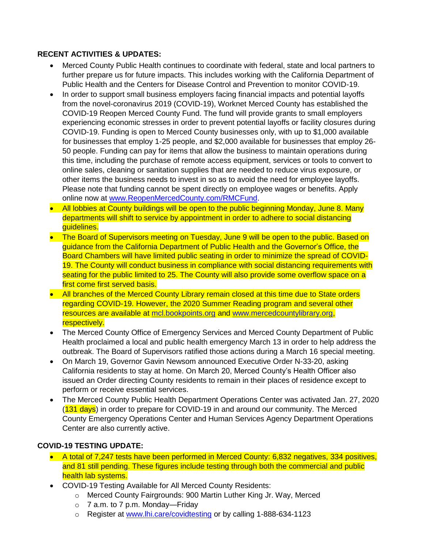### **RECENT ACTIVITIES & UPDATES:**

- Merced County Public Health continues to coordinate with federal, state and local partners to further prepare us for future impacts. This includes working with the California Department of Public Health and the Centers for Disease Control and Prevention to monitor COVID-19.
- In order to support small business employers facing financial impacts and potential layoffs from the novel-coronavirus 2019 (COVID-19), Worknet Merced County has established the COVID-19 Reopen Merced County Fund. The fund will provide grants to small employers experiencing economic stresses in order to prevent potential layoffs or facility closures during COVID-19. Funding is open to Merced County businesses only, with up to \$1,000 available for businesses that employ 1-25 people, and \$2,000 available for businesses that employ 26- 50 people. Funding can pay for items that allow the business to maintain operations during this time, including the purchase of remote access equipment, services or tools to convert to online sales, cleaning or sanitation supplies that are needed to reduce virus exposure, or other items the business needs to invest in so as to avoid the need for employee layoffs. Please note that funding cannot be spent directly on employee wages or benefits. Apply online now at [www.ReopenMercedCounty.com/RMCFund.](http://www.reopenmercedcounty.com/RMCFund)
- All lobbies at County buildings will be open to the public beginning Monday, June 8. Many departments will shift to service by appointment in order to adhere to social distancing guidelines.
- The Board of Supervisors meeting on Tuesday, June 9 will be open to the public. Based on guidance from the California Department of Public Health and the Governor's Office, the Board Chambers will have limited public seating in order to minimize the spread of COVID-19. The County will conduct business in compliance with social distancing requirements with seating for the public limited to 25. The County will also provide some overflow space on a first come first served basis.
- All branches of the Merced County Library remain closed at this time due to State orders regarding COVID-19. However, the 2020 Summer Reading program and several other resources are available at [mcl.bookpoints.org](file://///mcgengov-04/users3$/users/ceo/dept/DIR/North/Departments/Public%20Health/COVID-19/COVID-19%20Releases/mcl.bookpoints.org) and [www.mercedcountylibrary.org,](http://www.mercedcountylibrary.org/) respectively.
- The Merced County Office of Emergency Services and Merced County Department of Public Health proclaimed a local and public health emergency March 13 in order to help address the outbreak. The Board of Supervisors ratified those actions during a March 16 special meeting.
- On March 19, Governor Gavin Newsom announced Executive Order N-33-20, asking California residents to stay at home. On March 20, Merced County's Health Officer also issued an Order directing County residents to remain in their places of residence except to perform or receive essential services.
- The Merced County Public Health Department Operations Center was activated Jan. 27, 2020 (131 days) in order to prepare for COVID-19 in and around our community. The Merced County Emergency Operations Center and Human Services Agency Department Operations Center are also currently active.

## **COVID-19 TESTING UPDATE:**

- A total of 7,247 tests have been performed in Merced County: 6,832 negatives, 334 positives, and 81 still pending. These figures include testing through both the commercial and public health lab systems.
- COVID-19 Testing Available for All Merced County Residents:
	- o Merced County Fairgrounds: 900 Martin Luther King Jr. Way, Merced
	- $\circ$  7 a.m. to 7 p.m. Monday—Friday
	- o Register at [www.lhi.care/covidtesting](http://www.lhi.care/covidtesting) or by calling 1-888-634-1123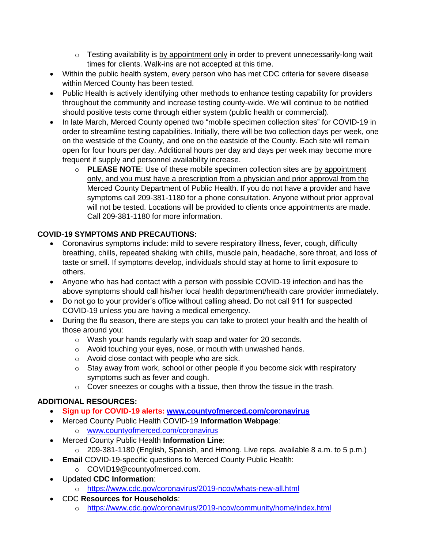- $\circ$  Testing availability is by appointment only in order to prevent unnecessarily-long wait times for clients. Walk-ins are not accepted at this time.
- Within the public health system, every person who has met CDC criteria for severe disease within Merced County has been tested.
- Public Health is actively identifying other methods to enhance testing capability for providers throughout the community and increase testing county-wide. We will continue to be notified should positive tests come through either system (public health or commercial).
- In late March, Merced County opened two "mobile specimen collection sites" for COVID-19 in order to streamline testing capabilities. Initially, there will be two collection days per week, one on the westside of the County, and one on the eastside of the County. Each site will remain open for four hours per day. Additional hours per day and days per week may become more frequent if supply and personnel availability increase.
	- o **PLEASE NOTE**: Use of these mobile specimen collection sites are by appointment only, and you must have a prescription from a physician and prior approval from the Merced County Department of Public Health. If you do not have a provider and have symptoms call 209-381-1180 for a phone consultation. Anyone without prior approval will not be tested. Locations will be provided to clients once appointments are made. Call 209-381-1180 for more information.

## **COVID-19 SYMPTOMS AND PRECAUTIONS:**

- Coronavirus symptoms include: mild to severe respiratory illness, fever, cough, difficulty breathing, chills, repeated shaking with chills, muscle pain, headache, sore throat, and loss of taste or smell. If symptoms develop, individuals should stay at home to limit exposure to others.
- Anyone who has had contact with a person with possible COVID-19 infection and has the above symptoms should call his/her local health department/health care provider immediately.
- Do not go to your provider's office without calling ahead. Do not call 911 for suspected COVID-19 unless you are having a medical emergency.
- During the flu season, there are steps you can take to protect your health and the health of those around you:
	- o Wash your hands regularly with soap and water for 20 seconds.
	- o Avoid touching your eyes, nose, or mouth with unwashed hands.
	- o Avoid close contact with people who are sick.
	- o Stay away from work, school or other people if you become sick with respiratory symptoms such as fever and cough.
	- $\circ$  Cover sneezes or coughs with a tissue, then throw the tissue in the trash.

## **ADDITIONAL RESOURCES:**

- **Sign up for COVID-19 alerts: [www.countyofmerced.com/coronavirus](http://www.countyofmerced.com/coronavirus)**
- Merced County Public Health COVID-19 **Information Webpage**:
	- o [www.countyofmerced.com/coronavirus](http://www.countyofmerced.com/coronavirus)
- Merced County Public Health **Information Line**:
	- o 209-381-1180 (English, Spanish, and Hmong. Live reps. available 8 a.m. to 5 p.m.)
- **Email** COVID-19-specific questions to Merced County Public Health:
	- o COVID19@countyofmerced.com.
- Updated **CDC Information**:
	- o <https://www.cdc.gov/coronavirus/2019-ncov/whats-new-all.html>
- CDC **Resources for Households**:
	- o <https://www.cdc.gov/coronavirus/2019-ncov/community/home/index.html>